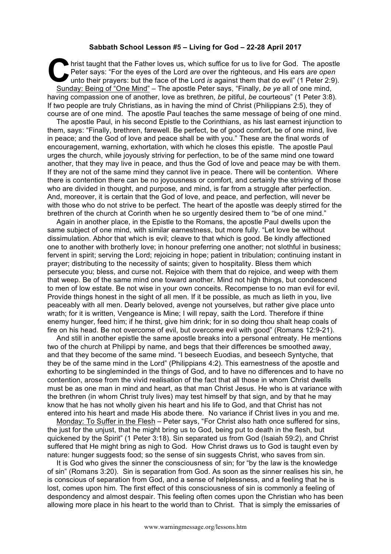## **Sabbath School Lesson #5 – Living for God – 22-28 April 2017**

hrist taught that the Father loves us, which suffice for us to live for God. The apostle Peter says: "For the eyes of the Lord *are* over the righteous, and His ears *are open* unto their prayers: but the face of the Lord *is* against them that do evil" (1 Peter 2:9). Sunday: Being of "One Mind" – The apostle Peter says, "Finally, *be ye* all of one mind, having compassion one of another, love as brethren, *be* pitiful, *be* courteous" (1 Peter 3:8). If two people are truly Christians, as in having the mind of Christ (Philippians 2:5), they of course are of one mind. The apostle Paul teaches the same message of being of one mind. Pe unit

The apostle Paul, in his second Epistle to the Corinthians, as his last earnest injunction to them, says: "Finally, brethren, farewell. Be perfect, be of good comfort, be of one mind, live in peace; and the God of love and peace shall be with you." These are the final words of encouragement, warning, exhortation, with which he closes this epistle. The apostle Paul urges the church, while joyously striving for perfection, to be of the same mind one toward another, that they may live in peace, and thus the God of love and peace may be with them. If they are not of the same mind they cannot live in peace. There will be contention. Where there is contention there can be no joyousness or comfort, and certainly the striving of those who are divided in thought, and purpose, and mind, is far from a struggle after perfection. And, moreover, it is certain that the God of love, and peace, and perfection, will never be with those who do not strive to be perfect. The heart of the apostle was deeply stirred for the brethren of the church at Corinth when he so urgently desired them to "be of one mind."

Again in another place, in the Epistle to the Romans, the apostle Paul dwells upon the same subject of one mind, with similar earnestness, but more fully. "Let love be without dissimulation. Abhor that which is evil; cleave to that which is good. Be kindly affectioned one to another with brotherly love; in honour preferring one another; not slothful in business; fervent in spirit; serving the Lord; rejoicing in hope; patient in tribulation; continuing instant in prayer; distributing to the necessity of saints; given to hospitality. Bless them which persecute you; bless, and curse not. Rejoice with them that do rejoice, and weep with them that weep. Be of the same mind one toward another. Mind not high things, but condescend to men of low estate. Be not wise in your own conceits. Recompense to no man evil for evil. Provide things honest in the sight of all men. If it be possible, as much as lieth in you, live peaceably with all men. Dearly beloved, avenge not yourselves, but rather give place unto wrath; for it is written, Vengeance is Mine; I will repay, saith the Lord. Therefore if thine enemy hunger, feed him; if he thirst, give him drink; for in so doing thou shalt heap coals of fire on his head. Be not overcome of evil, but overcome evil with good" (Romans 12:9-21).

And still in another epistle the same apostle breaks into a personal entreaty. He mentions two of the church at Philippi by name, and begs that their differences be smoothed away, and that they become of the same mind. "I beseech Euodias, and beseech Syntyche, that they be of the same mind in the Lord" (Philippians 4:2). This earnestness of the apostle and exhorting to be singleminded in the things of God, and to have no differences and to have no contention, arose from the vivid realisation of the fact that all those in whom Christ dwells must be as one man in mind and heart, as that man Christ Jesus. He who is at variance with the brethren (in whom Christ truly lives) may test himself by that sign, and by that he may know that he has not wholly given his heart and his life to God, and that Christ has not entered into his heart and made His abode there. No variance if Christ lives in you and me.

Monday: To Suffer in the Flesh – Peter says, "For Christ also hath once suffered for sins, the just for the unjust, that he might bring us to God, being put to death in the flesh, but quickened by the Spirit" (1 Peter 3:18). Sin separated us from God (Isaiah 59:2), and Christ suffered that He might bring as nigh to God. How Christ draws us to God is taught even by nature: hunger suggests food; so the sense of sin suggests Christ, who saves from sin.

It is God who gives the sinner the consciousness of sin; for "by the law is the knowledge of sin" (Romans 3:20). Sin is separation from God. As soon as the sinner realises his sin, he is conscious of separation from God, and a sense of helplessness, and a feeling that he is lost, comes upon him. The first effect of this consciousness of sin is commonly a feeling of despondency and almost despair. This feeling often comes upon the Christian who has been allowing more place in his heart to the world than to Christ. That is simply the emissaries of